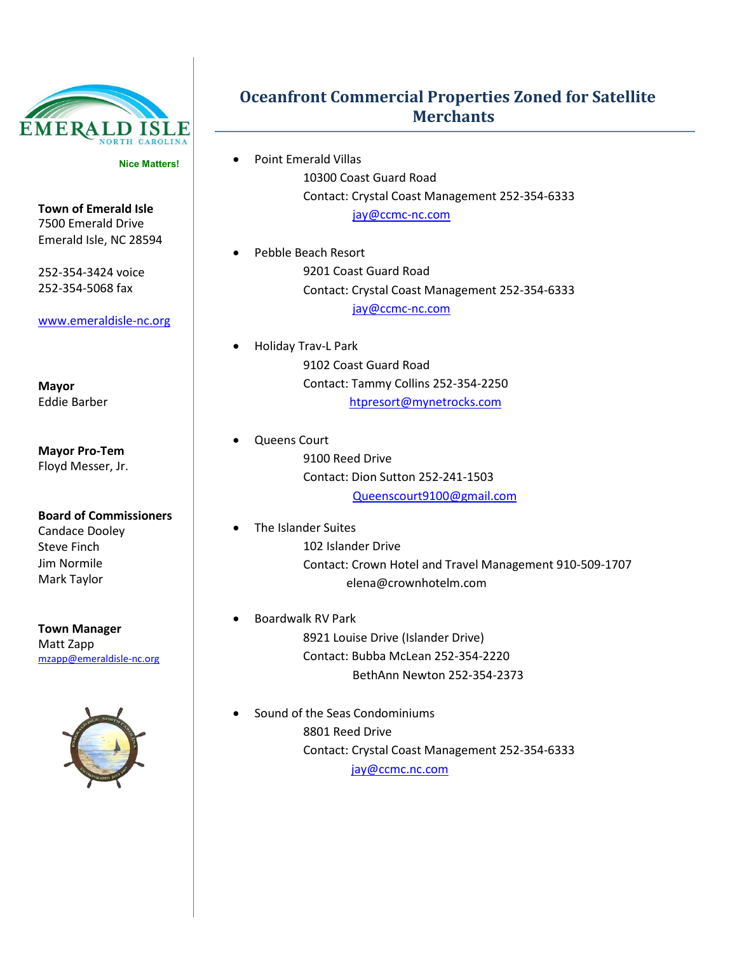

**Nice Matters!**

**Town of Emerald Isle** 7500 Emerald Drive Emerald Isle, NC 28594

252-354-3424 voice 252-354-5068 fax

[www.emeraldisle-nc.org](http://www.emeraldisle-nc.org/)

**Mayor** Eddie Barber

**Mayor Pro-Tem** Floyd Messer, Jr.

**Board of Commissioners** Candace Dooley Steve Finch Jim Normile Mark Taylor

**Town Manager** Matt Zapp [mzapp@emeraldisle-nc.org](mailto:mzapp@emeraldisle-nc.org)



## **Oceanfront Commercial Properties Zoned for Satellite Merchants**

- Point Emerald Villas 10300 Coast Guard Road Contact: Crystal Coast Management 252-354-6333 [jay@ccmc-nc.com](mailto:jay@ccmc-nc.com)
- Pebble Beach Resort 9201 Coast Guard Road Contact: Crystal Coast Management 252-354-6333 [jay@ccmc-nc.com](mailto:jay@ccmc-nc.com)
- Holiday Trav-L Park 9102 Coast Guard Road Contact: Tammy Collins 252-354-2250 [htpresort@mynetrocks.com](mailto:htpresort@mynetrocks.com)
	- Queens Court 9100 Reed Drive Contact: Dion Sutton 252-241-1503 [Queenscourt9100@gmail.com](mailto:Queenscourt9100@gmail.com)
	- The Islander Suites 102 Islander Drive Contact: Crown Hotel and Travel Management 910-509-1707 [elena@crownhotelm.com](mailto:elena@crownhotelm.com)
- Boardwalk RV Park 8921 Louise Drive (Islander Drive) Contact: Bubba McLean 252-354-2220 BethAnn Newton 252-354-2373
- Sound of the Seas Condominiums 8801 Reed Drive Contact: Crystal Coast Management 252-354-6333 [jay@ccmc.nc.com](mailto:jay@ccmc.nc.com)